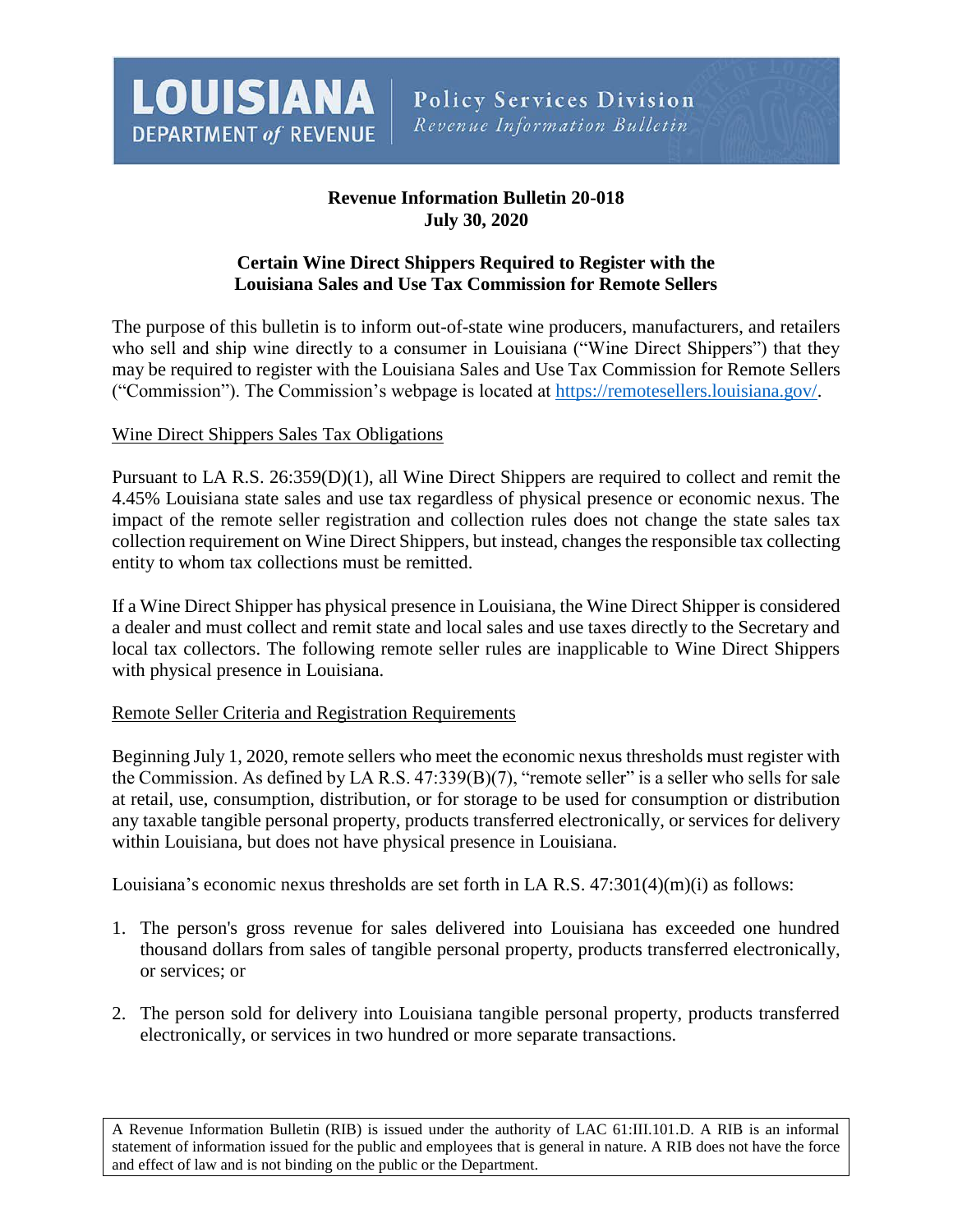

# **Revenue Information Bulletin 20-018 July 30, 2020**

# **Certain Wine Direct Shippers Required to Register with the Louisiana Sales and Use Tax Commission for Remote Sellers**

The purpose of this bulletin is to inform out-of-state wine producers, manufacturers, and retailers who sell and ship wine directly to a consumer in Louisiana ("Wine Direct Shippers") that they may be required to register with the Louisiana Sales and Use Tax Commission for Remote Sellers ("Commission"). The Commission's webpage is located at [https://remotesellers.louisiana.gov/.](https://remotesellers.louisiana.gov/)

### Wine Direct Shippers Sales Tax Obligations

Pursuant to LA R.S. 26:359(D)(1), all Wine Direct Shippers are required to collect and remit the 4.45% Louisiana state sales and use tax regardless of physical presence or economic nexus. The impact of the remote seller registration and collection rules does not change the state sales tax collection requirement on Wine Direct Shippers, but instead, changes the responsible tax collecting entity to whom tax collections must be remitted.

If a Wine Direct Shipper has physical presence in Louisiana, the Wine Direct Shipper is considered a dealer and must collect and remit state and local sales and use taxes directly to the Secretary and local tax collectors. The following remote seller rules are inapplicable to Wine Direct Shippers with physical presence in Louisiana.

### Remote Seller Criteria and Registration Requirements

Beginning July 1, 2020, remote sellers who meet the economic nexus thresholds must register with the Commission. As defined by LA R.S. 47:339(B)(7), "remote seller" is a seller who sells for sale at retail, use, consumption, distribution, or for storage to be used for consumption or distribution any taxable tangible personal property, products transferred electronically, or services for delivery within Louisiana, but does not have physical presence in Louisiana.

Louisiana's economic nexus thresholds are set forth in LA R.S.  $47:301(4)(m)(i)$  as follows:

- 1. The person's gross revenue for sales delivered into Louisiana has exceeded one hundred thousand dollars from sales of tangible personal property, products transferred electronically, or services; or
- 2. The person sold for delivery into Louisiana tangible personal property, products transferred electronically, or services in two hundred or more separate transactions.

A Revenue Information Bulletin (RIB) is issued under the authority of LAC 61:III.101.D. A RIB is an informal statement of information issued for the public and employees that is general in nature. A RIB does not have the force and effect of law and is not binding on the public or the Department.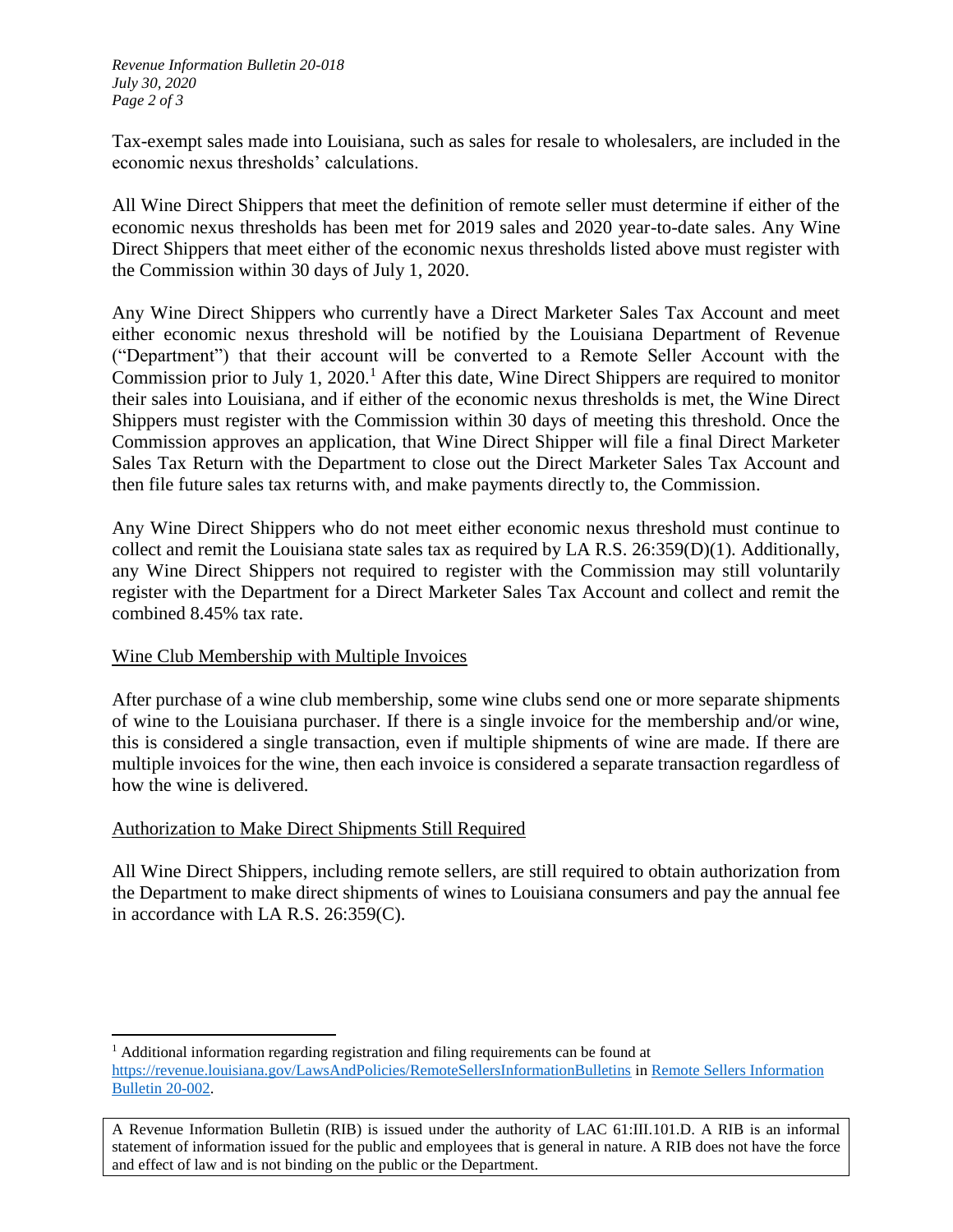Tax-exempt sales made into Louisiana, such as sales for resale to wholesalers, are included in the economic nexus thresholds' calculations.

All Wine Direct Shippers that meet the definition of remote seller must determine if either of the economic nexus thresholds has been met for 2019 sales and 2020 year-to-date sales. Any Wine Direct Shippers that meet either of the economic nexus thresholds listed above must register with the Commission within 30 days of July 1, 2020.

Any Wine Direct Shippers who currently have a Direct Marketer Sales Tax Account and meet either economic nexus threshold will be notified by the Louisiana Department of Revenue ("Department") that their account will be converted to a Remote Seller Account with the Commission prior to July 1, 2020.<sup>1</sup> After this date, Wine Direct Shippers are required to monitor their sales into Louisiana, and if either of the economic nexus thresholds is met, the Wine Direct Shippers must register with the Commission within 30 days of meeting this threshold. Once the Commission approves an application, that Wine Direct Shipper will file a final Direct Marketer Sales Tax Return with the Department to close out the Direct Marketer Sales Tax Account and then file future sales tax returns with, and make payments directly to, the Commission.

Any Wine Direct Shippers who do not meet either economic nexus threshold must continue to collect and remit the Louisiana state sales tax as required by LA R.S. 26:359(D)(1). Additionally, any Wine Direct Shippers not required to register with the Commission may still voluntarily register with the Department for a Direct Marketer Sales Tax Account and collect and remit the combined 8.45% tax rate.

#### Wine Club Membership with Multiple Invoices

After purchase of a wine club membership, some wine clubs send one or more separate shipments of wine to the Louisiana purchaser. If there is a single invoice for the membership and/or wine, this is considered a single transaction, even if multiple shipments of wine are made. If there are multiple invoices for the wine, then each invoice is considered a separate transaction regardless of how the wine is delivered.

#### Authorization to Make Direct Shipments Still Required

All Wine Direct Shippers, including remote sellers, are still required to obtain authorization from the Department to make direct shipments of wines to Louisiana consumers and pay the annual fee in accordance with LA R.S. 26:359(C).

 $\overline{\phantom{a}}$  $<sup>1</sup>$  Additional information regarding registration and filing requirements can be found at</sup> <https://revenue.louisiana.gov/LawsAndPolicies/RemoteSellersInformationBulletins> i[n Remote Sellers Information](http://revenue.louisiana.gov/LawsPolicies/RSIB%2020-002%20Effective%20Date%20for%20Remote%20Seller%20Registration%20and%20Collection%20of%20State%20and%20Local%20Sales%20and%20Use%20Tax%20at%20Actual%20Bases.pdf)  [Bulletin 20-002.](http://revenue.louisiana.gov/LawsPolicies/RSIB%2020-002%20Effective%20Date%20for%20Remote%20Seller%20Registration%20and%20Collection%20of%20State%20and%20Local%20Sales%20and%20Use%20Tax%20at%20Actual%20Bases.pdf)

A Revenue Information Bulletin (RIB) is issued under the authority of LAC 61:III.101.D. A RIB is an informal statement of information issued for the public and employees that is general in nature. A RIB does not have the force and effect of law and is not binding on the public or the Department.